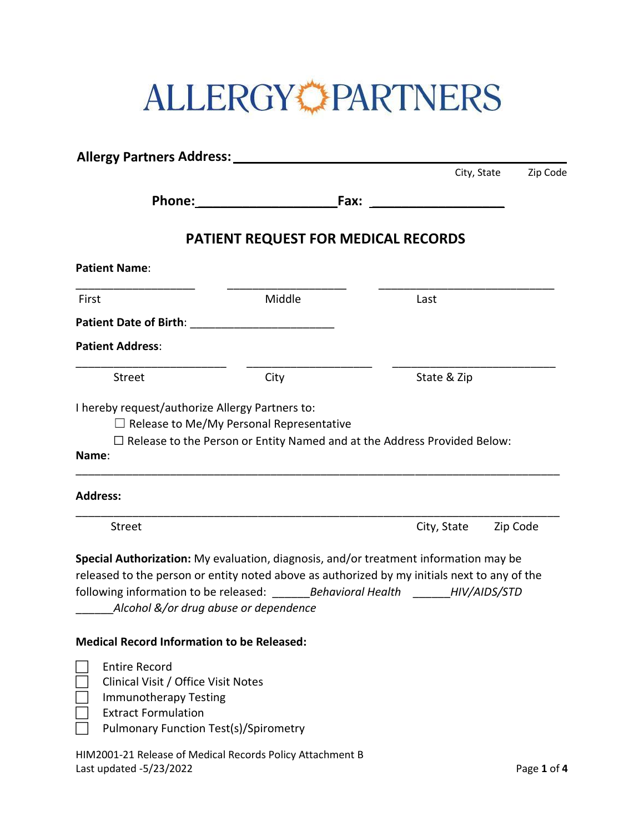# ALLERGYCPARTNERS

| <b>Allergy Partners Address:</b>                                                                                                                                                                                        |                                                                                                                                                                                                                                                              |             |          |
|-------------------------------------------------------------------------------------------------------------------------------------------------------------------------------------------------------------------------|--------------------------------------------------------------------------------------------------------------------------------------------------------------------------------------------------------------------------------------------------------------|-------------|----------|
|                                                                                                                                                                                                                         |                                                                                                                                                                                                                                                              | City, State | Zip Code |
|                                                                                                                                                                                                                         | Fax:                                                                                                                                                                                                                                                         |             |          |
|                                                                                                                                                                                                                         | PATIENT REQUEST FOR MEDICAL RECORDS                                                                                                                                                                                                                          |             |          |
| <b>Patient Name:</b>                                                                                                                                                                                                    |                                                                                                                                                                                                                                                              |             |          |
| First                                                                                                                                                                                                                   | Middle                                                                                                                                                                                                                                                       | Last        |          |
|                                                                                                                                                                                                                         |                                                                                                                                                                                                                                                              |             |          |
| <b>Patient Address:</b>                                                                                                                                                                                                 |                                                                                                                                                                                                                                                              |             |          |
| Street                                                                                                                                                                                                                  | City                                                                                                                                                                                                                                                         | State & Zip |          |
| Name:<br><b>Address:</b>                                                                                                                                                                                                | $\Box$ Release to the Person or Entity Named and at the Address Provided Below:                                                                                                                                                                              |             |          |
| Street                                                                                                                                                                                                                  |                                                                                                                                                                                                                                                              | City, State | Zip Code |
| Alcohol &/or drug abuse or dependence<br><b>Medical Record Information to be Released:</b><br><b>Entire Record</b><br>Clinical Visit / Office Visit Notes<br><b>Immunotherapy Testing</b><br><b>Extract Formulation</b> | Special Authorization: My evaluation, diagnosis, and/or treatment information may be<br>released to the person or entity noted above as authorized by my initials next to any of the<br>following information to be released: Behavioral Health HIV/AIDS/STD |             |          |
|                                                                                                                                                                                                                         |                                                                                                                                                                                                                                                              |             |          |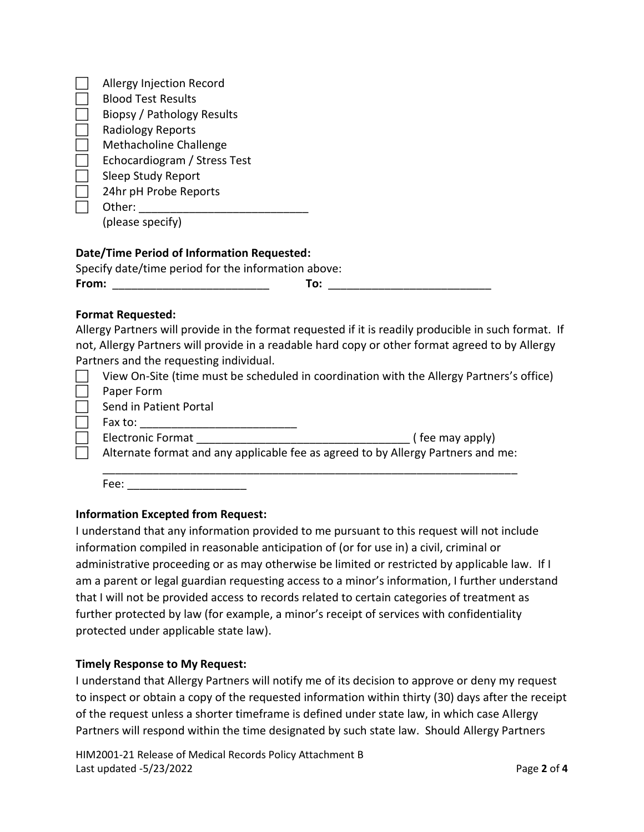| Allergy Injection Record     |
|------------------------------|
| <b>Blood Test Results</b>    |
| Biopsy / Pathology Results   |
| <b>Radiology Reports</b>     |
| Methacholine Challenge       |
| Echocardiogram / Stress Test |
| Sleep Study Report           |
| 24hr pH Probe Reports        |
| Other:                       |
| (please specify)             |
|                              |

# **Date/Time Period of Information Requested:**

| Specify date/time period for the information above: |     |
|-----------------------------------------------------|-----|
| From:                                               | To: |

#### **Format Requested:**

Allergy Partners will provide in the format requested if it is readily producible in such format. If not, Allergy Partners will provide in a readable hard copy or other format agreed to by Allergy Partners and the requesting individual.

|                                                                                  | , arenors and the requesting marriagan. |                                                                                          |
|----------------------------------------------------------------------------------|-----------------------------------------|------------------------------------------------------------------------------------------|
|                                                                                  |                                         | View On-Site (time must be scheduled in coordination with the Allergy Partners's office) |
|                                                                                  | Paper Form                              |                                                                                          |
|                                                                                  | Send in Patient Portal                  |                                                                                          |
|                                                                                  | Fax to:                                 |                                                                                          |
|                                                                                  | <b>Electronic Format</b>                | (fee may apply)                                                                          |
| Alternate format and any applicable fee as agreed to by Allergy Partners and me: |                                         |                                                                                          |
|                                                                                  |                                         |                                                                                          |
|                                                                                  | Fee:                                    |                                                                                          |

# **Information Excepted from Request:**

I understand that any information provided to me pursuant to this request will not include information compiled in reasonable anticipation of (or for use in) a civil, criminal or administrative proceeding or as may otherwise be limited or restricted by applicable law. If I am a parent or legal guardian requesting access to a minor's information, I further understand that I will not be provided access to records related to certain categories of treatment as further protected by law (for example, a minor's receipt of services with confidentiality protected under applicable state law).

# **Timely Response to My Request:**

I understand that Allergy Partners will notify me of its decision to approve or deny my request to inspect or obtain a copy of the requested information within thirty (30) days after the receipt of the request unless a shorter timeframe is defined under state law, in which case Allergy Partners will respond within the time designated by such state law. Should Allergy Partners

HIM2001-21 Release of Medical Records Policy Attachment B Last updated -5/23/2022 Page **2** of **4**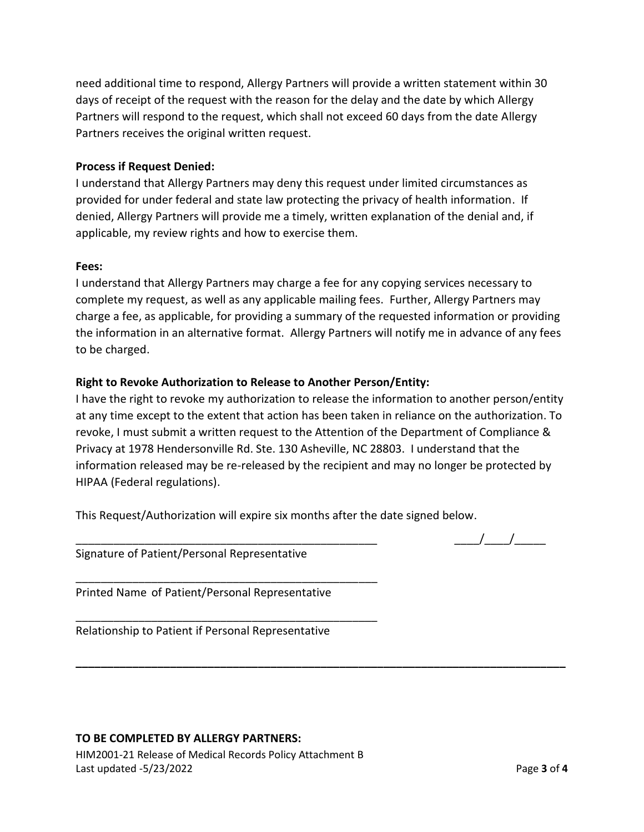need additional time to respond, Allergy Partners will provide a written statement within 30 days of receipt of the request with the reason for the delay and the date by which Allergy Partners will respond to the request, which shall not exceed 60 days from the date Allergy Partners receives the original written request.

# **Process if Request Denied:**

I understand that Allergy Partners may deny this request under limited circumstances as provided for under federal and state law protecting the privacy of health information. If denied, Allergy Partners will provide me a timely, written explanation of the denial and, if applicable, my review rights and how to exercise them.

#### **Fees:**

I understand that Allergy Partners may charge a fee for any copying services necessary to complete my request, as well as any applicable mailing fees. Further, Allergy Partners may charge a fee, as applicable, for providing a summary of the requested information or providing the information in an alternative format. Allergy Partners will notify me in advance of any fees to be charged.

# **Right to Revoke Authorization to Release to Another Person/Entity:**

I have the right to revoke my authorization to release the information to another person/entity at any time except to the extent that action has been taken in reliance on the authorization. To revoke, I must submit a written request to the Attention of the Department of Compliance & Privacy at 1978 Hendersonville Rd. Ste. 130 Asheville, NC 28803. I understand that the information released may be re-released by the recipient and may no longer be protected by HIPAA (Federal regulations).

**\_\_\_\_\_\_\_\_\_\_\_\_\_\_\_\_\_\_\_\_\_\_\_\_\_\_\_\_\_\_\_\_\_\_\_\_\_\_\_\_\_\_\_\_\_\_\_\_\_\_\_\_\_\_\_\_\_\_\_\_\_\_\_\_\_\_\_\_\_\_\_\_\_\_\_\_\_\_**

This Request/Authorization will expire six months after the date signed below.

Signature of Patient/Personal Representative

\_\_\_\_\_\_\_\_\_\_\_\_\_\_\_\_\_\_\_\_\_\_\_\_\_\_\_\_\_\_\_\_\_\_\_\_\_\_\_\_\_\_\_\_\_\_\_\_

\_\_\_\_\_\_\_\_\_\_\_\_\_\_\_\_\_\_\_\_\_\_\_\_\_\_\_\_\_\_\_\_\_\_\_\_\_\_\_\_\_\_\_\_\_\_\_\_

Printed Name of Patient/Personal Representative

Relationship to Patient if Personal Representative

# **TO BE COMPLETED BY ALLERGY PARTNERS:**

HIM2001-21 Release of Medical Records Policy Attachment B Last updated -5/23/2022 Page **3** of **4**

 $\frac{1}{\sqrt{2\pi}}$